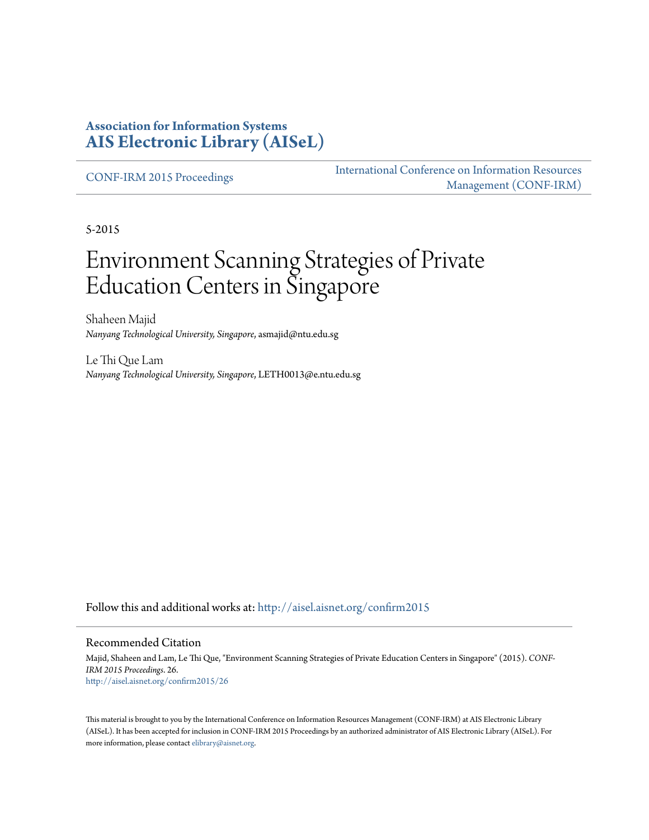# **Association for Information Systems [AIS Electronic Library \(AISeL\)](http://aisel.aisnet.org?utm_source=aisel.aisnet.org%2Fconfirm2015%2F26&utm_medium=PDF&utm_campaign=PDFCoverPages)**

[CONF-IRM 2015 Proceedings](http://aisel.aisnet.org/confirm2015?utm_source=aisel.aisnet.org%2Fconfirm2015%2F26&utm_medium=PDF&utm_campaign=PDFCoverPages)

[International Conference on Information Resources](http://aisel.aisnet.org/conf-irm?utm_source=aisel.aisnet.org%2Fconfirm2015%2F26&utm_medium=PDF&utm_campaign=PDFCoverPages) [Management \(CONF-IRM\)](http://aisel.aisnet.org/conf-irm?utm_source=aisel.aisnet.org%2Fconfirm2015%2F26&utm_medium=PDF&utm_campaign=PDFCoverPages)

5-2015

# Environment Scanning Strategies of Private Education Centers in Singapore

Shaheen Majid *Nanyang Technological University, Singapore*, asmajid@ntu.edu.sg

Le Thi Que Lam *Nanyang Technological University, Singapore*, LETH0013@e.ntu.edu.sg

Follow this and additional works at: [http://aisel.aisnet.org/confirm2015](http://aisel.aisnet.org/confirm2015?utm_source=aisel.aisnet.org%2Fconfirm2015%2F26&utm_medium=PDF&utm_campaign=PDFCoverPages)

#### Recommended Citation

Majid, Shaheen and Lam, Le Thi Que, "Environment Scanning Strategies of Private Education Centers in Singapore" (2015). *CONF-IRM 2015 Proceedings*. 26. [http://aisel.aisnet.org/confirm2015/26](http://aisel.aisnet.org/confirm2015/26?utm_source=aisel.aisnet.org%2Fconfirm2015%2F26&utm_medium=PDF&utm_campaign=PDFCoverPages)

This material is brought to you by the International Conference on Information Resources Management (CONF-IRM) at AIS Electronic Library (AISeL). It has been accepted for inclusion in CONF-IRM 2015 Proceedings by an authorized administrator of AIS Electronic Library (AISeL). For more information, please contact [elibrary@aisnet.org.](mailto:elibrary@aisnet.org%3E)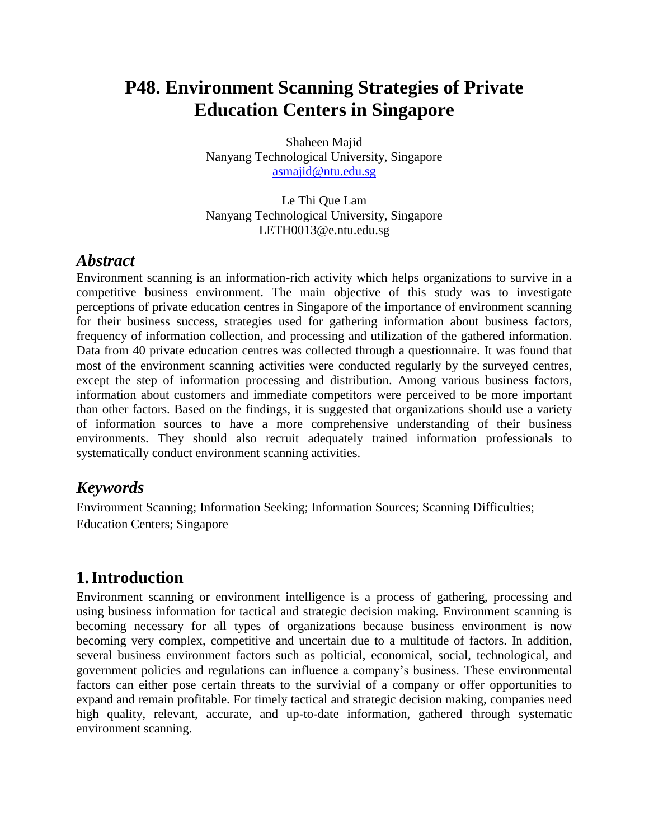# **P48. Environment Scanning Strategies of Private Education Centers in Singapore**

Shaheen Majid Nanyang Technological University, Singapore [asmajid@ntu.edu.sg](mailto:asmajid@ntu.edu.sg)

Le Thi Que Lam Nanyang Technological University, Singapore LETH0013@e.ntu.edu.sg

# *Abstract*

Environment scanning is an information-rich activity which helps organizations to survive in a competitive business environment. The main objective of this study was to investigate perceptions of private education centres in Singapore of the importance of environment scanning for their business success, strategies used for gathering information about business factors, frequency of information collection, and processing and utilization of the gathered information. Data from 40 private education centres was collected through a questionnaire. It was found that most of the environment scanning activities were conducted regularly by the surveyed centres, except the step of information processing and distribution. Among various business factors, information about customers and immediate competitors were perceived to be more important than other factors. Based on the findings, it is suggested that organizations should use a variety of information sources to have a more comprehensive understanding of their business environments. They should also recruit adequately trained information professionals to systematically conduct environment scanning activities.

# *Keywords*

Environment Scanning; Information Seeking; Information Sources; Scanning Difficulties; Education Centers; Singapore

# **1.Introduction**

Environment scanning or environment intelligence is a process of gathering, processing and using business information for tactical and strategic decision making. Environment scanning is becoming necessary for all types of organizations because business environment is now becoming very complex, competitive and uncertain due to a multitude of factors. In addition, several business environment factors such as polticial, economical, social, technological, and government policies and regulations can influence a company's business. These environmental factors can either pose certain threats to the survivial of a company or offer opportunities to expand and remain profitable. For timely tactical and strategic decision making, companies need high quality, relevant, accurate, and up-to-date information, gathered through systematic environment scanning.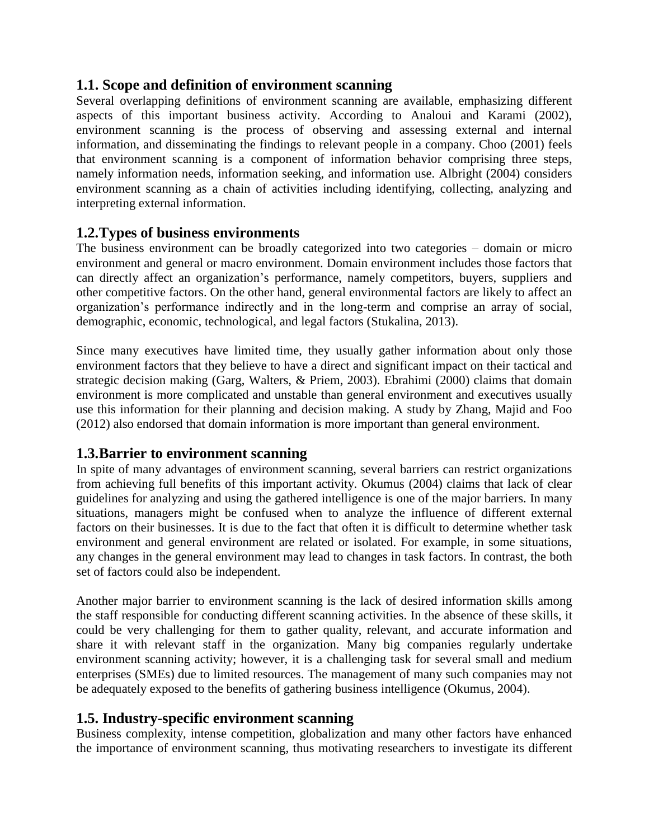#### **1.1. Scope and definition of environment scanning**

Several overlapping definitions of environment scanning are available, emphasizing different aspects of this important business activity. According to Analoui and Karami (2002), environment scanning is the process of observing and assessing external and internal information, and disseminating the findings to relevant people in a company. [Choo \(2001\)](#page-7-0) feels that environment scanning is a component of information behavior comprising three steps, namely information needs, information seeking, and information use. Albright (2004) considers environment scanning as a chain of activities including identifying, collecting, analyzing and interpreting external information.

#### **1.2.Types of business environments**

The business environment can be broadly categorized into two categories – domain or micro environment and general or macro environment. Domain environment includes those factors that can directly affect an organization's performance, namely competitors, buyers, suppliers and other competitive factors. On the other hand, general environmental factors are likely to affect an organization's performance indirectly and in the long-term and comprise an array of social, demographic, economic, technological, and legal factors (Stukalina, 2013).

Since many executives have limited time, they usually gather information about only those environment factors that they believe to have a direct and significant impact on their tactical and strategic decision making [\(Garg, Walters, & Priem, 2003\)](#page-7-1). Ebrahimi (2000) claims that domain environment is more complicated and unstable than general environment and executives usually use this information for their planning and decision making. A study by Zhang, Majid and Foo (2012) also endorsed that domain information is more important than general environment.

## **1.3.Barrier to environment scanning**

In spite of many advantages of environment scanning, several barriers can restrict organizations from achieving full benefits of this important activity. Okumus (2004) claims that lack of clear guidelines for analyzing and using the gathered intelligence is one of the major barriers. In many situations, managers might be confused when to analyze the influence of different external factors on their businesses. It is due to the fact that often it is difficult to determine whether task environment and general environment are related or isolated. For example, in some situations, any changes in the general environment may lead to changes in task factors. In contrast, the both set of factors could also be independent.

Another major barrier to environment scanning is the lack of desired information skills among the staff responsible for conducting different scanning activities. In the absence of these skills, it could be very challenging for them to gather quality, relevant, and accurate information and share it with relevant staff in the organization. Many big companies regularly undertake environment scanning activity; however, it is a challenging task for several small and medium enterprises (SMEs) due to limited resources. The management of many such companies may not be adequately exposed to the benefits of gathering business intelligence (Okumus, 2004).

## **1.5. Industry-specific environment scanning**

Business complexity, intense competition, globalization and many other factors have enhanced the importance of environment scanning, thus motivating researchers to investigate its different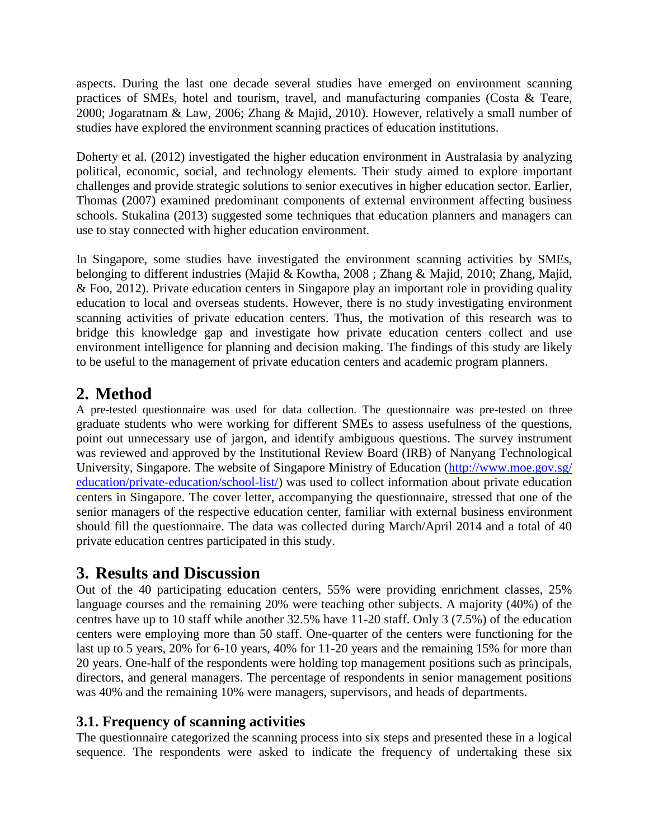aspects. During the last one decade several studies have emerged on environment scanning practices of SMEs, hotel and tourism, travel, and manufacturing companies (Costa & Teare, 2000; Jogaratnam & Law, 2006; Zhang & Majid, 2010). However, relatively a small number of studies have explored the environment scanning practices of education institutions.

Doherty et al. (2012) investigated the higher education environment in Australasia by analyzing political, economic, social, and technology elements. Their study aimed to explore important challenges and provide strategic solutions to senior executives in higher education sector. Earlier, Thomas (2007) examined predominant components of external environment affecting business schools. [Stukalina \(2013\)](#page-7-2) suggested some techniques that education planners and managers can use to stay connected with higher education environment.

In Singapore, some studies have investigated the environment scanning activities by SMEs, belonging to different industries (Majid & Kowtha, 2008 ; Zhang & Majid, 2010; Zhang, Majid, & Foo, 2012). Private education centers in Singapore play an important role in providing quality education to local and overseas students. However, there is no study investigating environment scanning activities of private education centers. Thus, the motivation of this research was to bridge this knowledge gap and investigate how private education centers collect and use environment intelligence for planning and decision making. The findings of this study are likely to be useful to the management of private education centers and academic program planners.

# **2. Method**

A pre-tested questionnaire was used for data collection. The questionnaire was pre-tested on three graduate students who were working for different SMEs to assess usefulness of the questions, point out unnecessary use of jargon, and identify ambiguous questions. The survey instrument was reviewed and approved by the Institutional Review Board (IRB) of Nanyang Technological University, Singapore. The website of Singapore Ministry of Education [\(http://www.moe.gov.sg/](http://www.moe.gov.sg/%20education/private-education/school-list/)  [education/private-education/school-list/\)](http://www.moe.gov.sg/%20education/private-education/school-list/) was used to collect information about private education centers in Singapore. The cover letter, accompanying the questionnaire, stressed that one of the senior managers of the respective education center, familiar with external business environment should fill the questionnaire. The data was collected during March/April 2014 and a total of 40 private education centres participated in this study.

# **3. Results and Discussion**

Out of the 40 participating education centers, 55% were providing enrichment classes, 25% language courses and the remaining 20% were teaching other subjects. A majority (40%) of the centres have up to 10 staff while another 32.5% have 11-20 staff. Only 3 (7.5%) of the education centers were employing more than 50 staff. One-quarter of the centers were functioning for the last up to 5 years, 20% for 6-10 years, 40% for 11-20 years and the remaining 15% for more than 20 years. One-half of the respondents were holding top management positions such as principals, directors, and general managers. The percentage of respondents in senior management positions was 40% and the remaining 10% were managers, supervisors, and heads of departments.

# **3.1. Frequency of scanning activities**

The questionnaire categorized the scanning process into six steps and presented these in a logical sequence. The respondents were asked to indicate the frequency of undertaking these six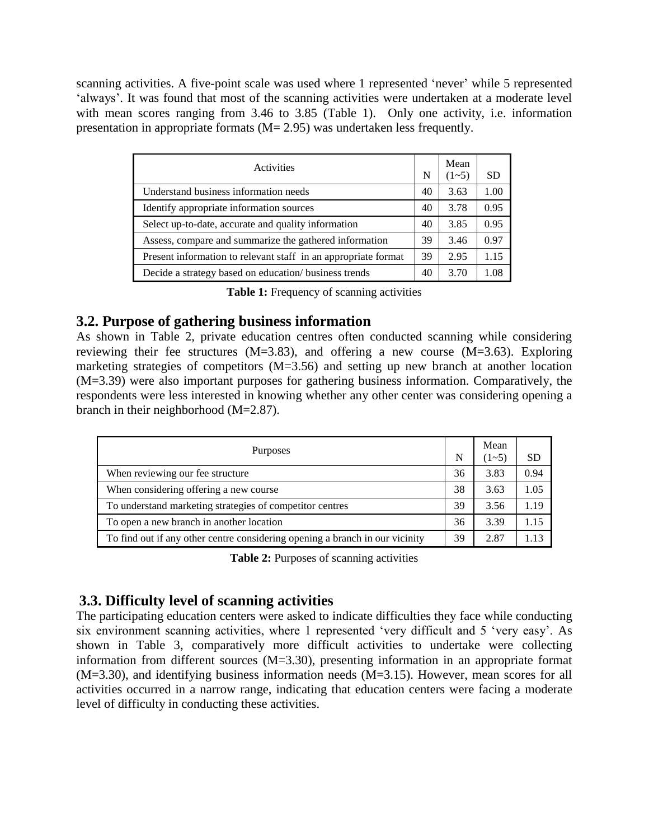scanning activities. A five-point scale was used where 1 represented 'never' while 5 represented 'always'. It was found that most of the scanning activities were undertaken at a moderate level with mean scores ranging from 3.46 to 3.85 (Table 1). Only one activity, i.e. information presentation in appropriate formats (M= 2.95) was undertaken less frequently.

| Activities                                                     | N  | Mean<br>$(1 - 5)$ | <b>SD</b> |
|----------------------------------------------------------------|----|-------------------|-----------|
| Understand business information needs                          | 40 | 3.63              | 1.00      |
| Identify appropriate information sources                       | 40 | 3.78              | 0.95      |
| Select up-to-date, accurate and quality information            | 40 | 3.85              | 0.95      |
| Assess, compare and summarize the gathered information         | 39 | 3.46              | 0.97      |
| Present information to relevant staff in an appropriate format | 39 | 2.95              | 1.15      |
| Decide a strategy based on education/ business trends          | 40 | 3.70              | 1.08      |

Table 1: Frequency of scanning activities

#### **3.2. Purpose of gathering business information**

As shown in Table 2, private education centres often conducted scanning while considering reviewing their fee structures (M=3.83), and offering a new course (M=3.63). Exploring marketing strategies of competitors  $(M=3.56)$  and setting up new branch at another location (M=3.39) were also important purposes for gathering business information. Comparatively, the respondents were less interested in knowing whether any other center was considering opening a branch in their neighborhood (M=2.87).

| <b>Purposes</b>                                                              | N  | Mean<br>$(1 - 5)$ | <b>SD</b> |
|------------------------------------------------------------------------------|----|-------------------|-----------|
| When reviewing our fee structure                                             | 36 | 3.83              | 0.94      |
| When considering offering a new course                                       | 38 | 3.63              | 1.05      |
| To understand marketing strategies of competitor centres                     | 39 | 3.56              | 1.19      |
| To open a new branch in another location                                     | 36 | 3.39              | 1.15      |
| To find out if any other centre considering opening a branch in our vicinity | 39 | 2.87              | 1 13      |

**Table 2:** Purposes of scanning activities

## **3.3. Difficulty level of scanning activities**

The participating education centers were asked to indicate difficulties they face while conducting six environment scanning activities, where 1 represented 'very difficult and 5 'very easy'. As shown in Table 3, comparatively more difficult activities to undertake were collecting information from different sources (M=3.30), presenting information in an appropriate format (M=3.30), and identifying business information needs (M=3.15). However, mean scores for all activities occurred in a narrow range, indicating that education centers were facing a moderate level of difficulty in conducting these activities.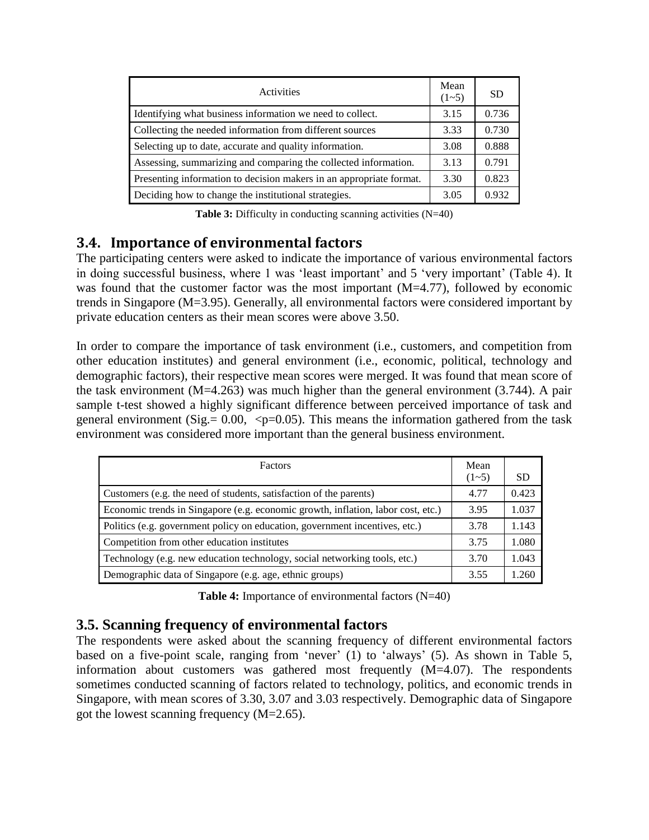| Activities                                                          | Mean<br>$(1-5)$ | -SD   |
|---------------------------------------------------------------------|-----------------|-------|
| Identifying what business information we need to collect.           | 3.15            | 0.736 |
| Collecting the needed information from different sources            | 3.33            | 0.730 |
| Selecting up to date, accurate and quality information.             | 3.08            | 0.888 |
| Assessing, summarizing and comparing the collected information.     | 3.13            | 0.791 |
| Presenting information to decision makers in an appropriate format. | 3.30            | 0.823 |
| Deciding how to change the institutional strategies.                | 3.05            | 0.932 |

**Table 3:** Difficulty in conducting scanning activities (N=40)

# **3.4. Importance of environmental factors**

The participating centers were asked to indicate the importance of various environmental factors in doing successful business, where 1 was 'least important' and 5 'very important' (Table 4). It was found that the customer factor was the most important (M=4.77), followed by economic trends in Singapore (M=3.95). Generally, all environmental factors were considered important by private education centers as their mean scores were above 3.50.

In order to compare the importance of task environment (i.e., customers, and competition from other education institutes) and general environment (i.e., economic, political, technology and demographic factors), their respective mean scores were merged. It was found that mean score of the task environment ( $M=4.263$ ) was much higher than the general environment (3.744). A pair sample t-test showed a highly significant difference between perceived importance of task and general environment (Sig.=  $0.00$ ,  $\leq p=0.05$ ). This means the information gathered from the task environment was considered more important than the general business environment.

| <b>Factors</b>                                                                   | Mean<br>$(1-5)$ | <b>SD</b> |
|----------------------------------------------------------------------------------|-----------------|-----------|
| Customers (e.g. the need of students, satisfaction of the parents)               | 4.77            | 0.423     |
| Economic trends in Singapore (e.g. economic growth, inflation, labor cost, etc.) | 3.95            | 1.037     |
| Politics (e.g. government policy on education, government incentives, etc.)      | 3.78            | 1.143     |
| Competition from other education institutes                                      | 3.75            | 1.080     |
| Technology (e.g. new education technology, social networking tools, etc.)        | 3.70            | 1.043     |
| Demographic data of Singapore (e.g. age, ethnic groups)                          | 3.55            | 1.260     |

**Table 4:** Importance of environmental factors (N=40)

## **3.5. Scanning frequency of environmental factors**

The respondents were asked about the scanning frequency of different environmental factors based on a five-point scale, ranging from 'never' (1) to 'always' (5). As shown in Table 5, information about customers was gathered most frequently (M=4.07). The respondents sometimes conducted scanning of factors related to technology, politics, and economic trends in Singapore, with mean scores of 3.30, 3.07 and 3.03 respectively. Demographic data of Singapore got the lowest scanning frequency (M=2.65).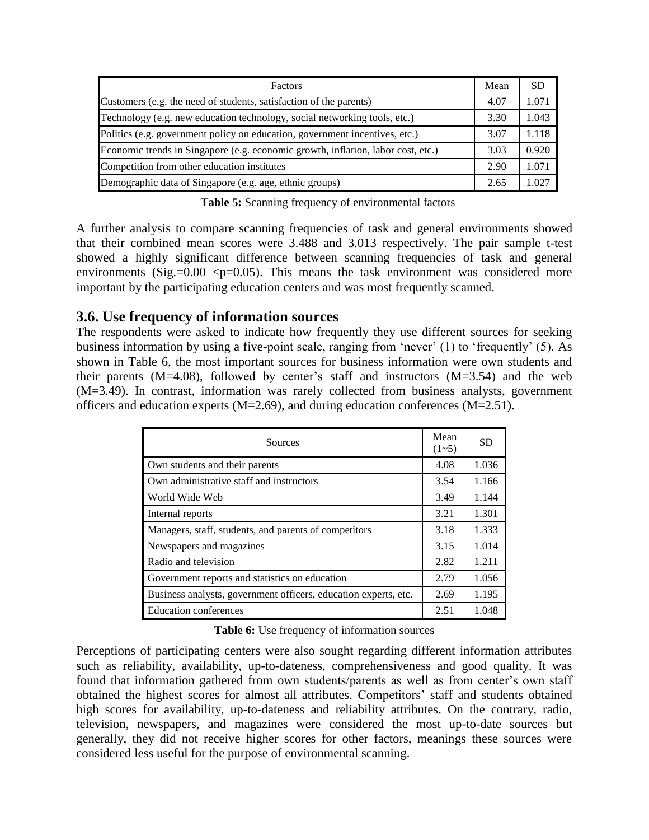| Factors                                                                          | Mean | <b>SD</b> |
|----------------------------------------------------------------------------------|------|-----------|
| Customers (e.g. the need of students, satisfaction of the parents)               | 4.07 | 1.071     |
| Technology (e.g. new education technology, social networking tools, etc.)        | 3.30 | 1.043     |
| Politics (e.g. government policy on education, government incentives, etc.)      | 3.07 | 1.118     |
| Economic trends in Singapore (e.g. economic growth, inflation, labor cost, etc.) | 3.03 | 0.920     |
| Competition from other education institutes                                      | 2.90 | 1.071     |
| Demographic data of Singapore (e.g. age, ethnic groups)                          | 2.65 | 1.027     |

**Table 5:** Scanning frequency of environmental factors

A further analysis to compare scanning frequencies of task and general environments showed that their combined mean scores were 3.488 and 3.013 respectively. The pair sample t-test showed a highly significant difference between scanning frequencies of task and general environments (Sig.= $0.00$  <p= $0.05$ ). This means the task environment was considered more important by the participating education centers and was most frequently scanned.

#### **3.6. Use frequency of information sources**

The respondents were asked to indicate how frequently they use different sources for seeking business information by using a five-point scale, ranging from 'never' (1) to 'frequently' (5). As shown in Table 6, the most important sources for business information were own students and their parents  $(M=4.08)$ , followed by center's staff and instructors  $(M=3.54)$  and the web (M=3.49). In contrast, information was rarely collected from business analysts, government officers and education experts (M=2.69), and during education conferences (M=2.51).

| Sources                                                         | Mean<br>$(1-5)$ | <b>SD</b> |
|-----------------------------------------------------------------|-----------------|-----------|
| Own students and their parents                                  | 4.08            | 1.036     |
| Own administrative staff and instructors                        | 3.54            | 1.166     |
| World Wide Web                                                  | 3.49            | 1.144     |
| Internal reports                                                | 3.21            | 1.301     |
| Managers, staff, students, and parents of competitors           | 3.18            | 1.333     |
| Newspapers and magazines                                        | 3.15            | 1.014     |
| Radio and television                                            | 2.82            | 1.211     |
| Government reports and statistics on education                  | 2.79            | 1.056     |
| Business analysts, government officers, education experts, etc. | 2.69            | 1.195     |
| <b>Education conferences</b>                                    | 2.51            | 1.048     |

**Table 6:** Use frequency of information sources

Perceptions of participating centers were also sought regarding different information attributes such as reliability, availability, up-to-dateness, comprehensiveness and good quality. It was found that information gathered from own students/parents as well as from center's own staff obtained the highest scores for almost all attributes. Competitors' staff and students obtained high scores for availability, up-to-dateness and reliability attributes. On the contrary, radio, television, newspapers, and magazines were considered the most up-to-date sources but generally, they did not receive higher scores for other factors, meanings these sources were considered less useful for the purpose of environmental scanning.